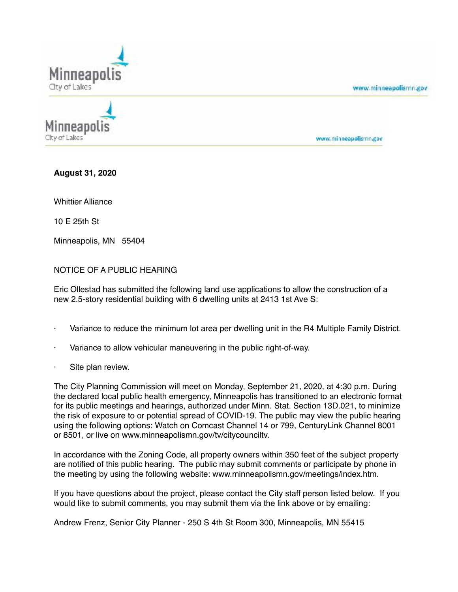

www.minneapolismn.gov

www.minneapolismn.gov

**August 31, 2020**

City of Lakes

Whittier Alliance

10 E 25th St

Minneapolis, MN 55404

## NOTICE OF A PUBLIC HEARING

Eric Ollestad has submitted the following land use applications to allow the construction of a new 2.5-story residential building with 6 dwelling units at 2413 1st Ave S:

- Variance to reduce the minimum lot area per dwelling unit in the R4 Multiple Family District.
- Variance to allow vehicular maneuvering in the public right-of-way.
- Site plan review.

The City Planning Commission will meet on Monday, September 21, 2020, at 4:30 p.m. During the declared local public health emergency, Minneapolis has transitioned to an electronic format for its public meetings and hearings, authorized under Minn. Stat. Section 13D.021, to minimize the risk of exposure to or potential spread of COVID-19. The public may view the public hearing using the following options: Watch on Comcast Channel 14 or 799, CenturyLink Channel 8001 or 8501, or live on www.minneapolismn.gov/tv/citycounciltv.

In accordance with the Zoning Code, all property owners within 350 feet of the subject property are notified of this public hearing. The public may submit comments or participate by phone in the meeting by using the following website: www.minneapolismn.gov/meetings/index.htm.

If you have questions about the project, please contact the City staff person listed below. If you would like to submit comments, you may submit them via the link above or by emailing:

Andrew Frenz, Senior City Planner - 250 S 4th St Room 300, Minneapolis, MN 55415